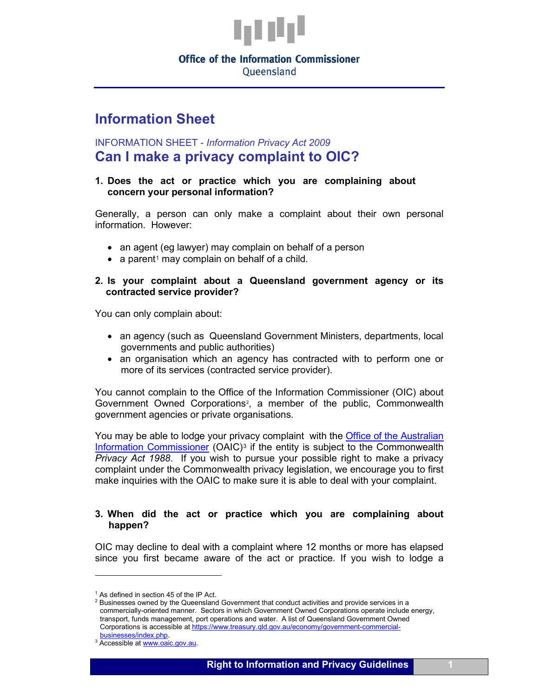

# **Office of the Information Commissioner**

Queensland

## **Information Sheet**

### INFORMATION SHEET - *Information Privacy Act 2009* **Can I make a privacy complaint to OIC?**

#### **1. Does the act or practice which you are complaining about concern your personal information?**

Generally, a person can only make a complaint about their own personal information. However:

- an agent (eg lawyer) may complain on behalf of a person
- a parent<sup>[1](#page-0-0)</sup> may complain on behalf of a child.

#### **2. Is your complaint about a Queensland government agency or its contracted service provider?**

You can only complain about:

- an agency (such as Queensland Government Ministers, departments, local governments and public authorities)
- an organisation which an agency has contracted with to perform one or more of its services (contracted service provider).

You cannot complain to the Office of the Information Commissioner (OIC) about Government Owned Corporations<sup>[2](#page-0-1)</sup>, a member of the public, Commonwealth government agencies or private organisations.

You may be able to lodge your privacy complaint with the [Office of the Australian](https://www.oaic.gov.au/)  [Information Commissioner](https://www.oaic.gov.au/)  $(OAIC)^3$  $(OAIC)^3$  if the entity is subject to the Commonwealth *Privacy Act 1988*. If you wish to pursue your possible right to make a privacy complaint under the Commonwealth privacy legislation, we encourage you to first make inquiries with the OAIC to make sure it is able to deal with your complaint.

#### **3. When did the act or practice which you are complaining about happen?**

OIC may decline to deal with a complaint where 12 months or more has elapsed since you first became aware of the act or practice. If you wish to lodge a

<span id="page-0-0"></span> $1$  As defined in section 45 of the IP Act.

<span id="page-0-1"></span><sup>&</sup>lt;sup>2</sup> Businesses owned by the Queensland Government that conduct activities and provide services in a commercially-oriented manner. Sectors in which Government Owned Corporations operate include energy, transport, funds management, port operations and water. A list of Queensland Government Owned Corporations is accessible at https://www.treasury.qld.gov.au/economy/government-commercial-<br>businesses/index.php.

<span id="page-0-2"></span><sup>&</sup>lt;sup>3</sup> Accessible a[t www.oaic.gov.au.](http://www.oaic.gov.au/)